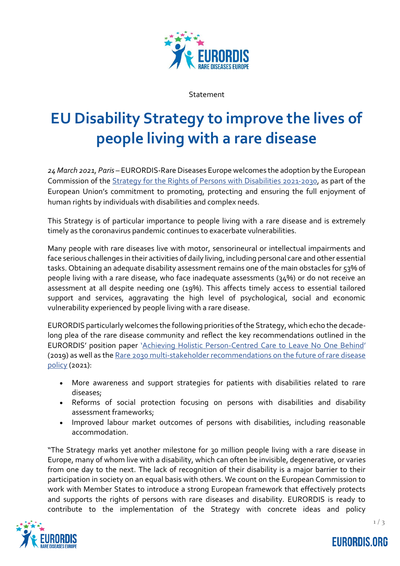

Statement

## **EU Disability Strategy to improve the lives of people living with a rare disease**

*24 March 2021, Paris –* EURORDIS-Rare Diseases Europe welcomes the adoption by the European Commission of the [Strategy for the Rights of Persons with Disabilities 2021-2030,](https://op.europa.eu/en/publication-detail/-/publication/3e1e2228-7c97-11eb-9ac9-01aa75ed71a1) as part of the European Union's commitment to promoting, protecting and ensuring the full enjoyment of human rights by individuals with disabilities and complex needs.

This Strategy is of particular importance to people living with a rare disease and is extremely timely as the coronavirus pandemic continues to exacerbate vulnerabilities.

Many people with rare diseases live with motor, sensorineural or intellectual impairments and face serious challenges in their activities of daily living, including personal care and other essential tasks. Obtaining an adequate disability assessment remains one of the main obstacles for 53% of people living with a rare disease, who face inadequate assessments (34%) or do not receive an assessment at all despite needing one (19%). This affects timely access to essential tailored support and services, aggravating the high level of psychological, social and economic vulnerability experienced by people living with a rare disease.

EURORDIS particularly welcomes the following priorities of the Strategy, which echo the decadelong plea of the rare disease community and reflect the key recommendations outlined in the EURORDIS' position paper '[Achieving Holistic Person-Centred Care to Leave No One Behind](http://download2.eurordis.org/positionpapers/Position%20Paper%20Holistic%20Care%20for%20Rare%20Diseases_Final.pdf)' (2019) as well as th[e Rare 2030 multi-stakeholder recommendations on the future of rare disease](https://www.rare2030.eu/recommendations/)  [policy](https://www.rare2030.eu/recommendations/) (2021):

- More awareness and support strategies for patients with disabilities related to rare diseases;
- Reforms of social protection focusing on persons with disabilities and disability assessment frameworks;
- Improved labour market outcomes of persons with disabilities, including reasonable accommodation.

"The Strategy marks yet another milestone for 30 million people living with a rare disease in Europe, many of whom live with a disability, which can often be invisible, degenerative, or varies from one day to the next. The lack of recognition of their disability is a major barrier to their participation in society on an equal basis with others. We count on the European Commission to work with Member States to introduce a strong European framework that effectively protects and supports the rights of persons with rare diseases and disability. EURORDIS is ready to contribute to the implementation of the Strategy with concrete ideas and policy